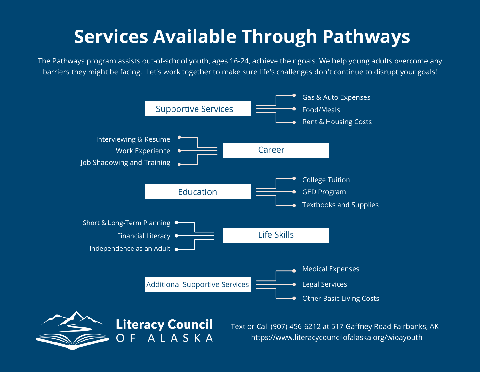## **Services Available Through Pathways**

The Pathways program assists out-of-school youth, ages 16-24, achieve their goals. We help young adults overcome any barriers they might be facing. Let's work together to make sure life's challenges don't continue to disrupt your goals!





Text or Call (907) 456-6212 at 517 Gaffney Road Fairbanks, AK https://www.literacycouncilofalaska.org/wioayouth